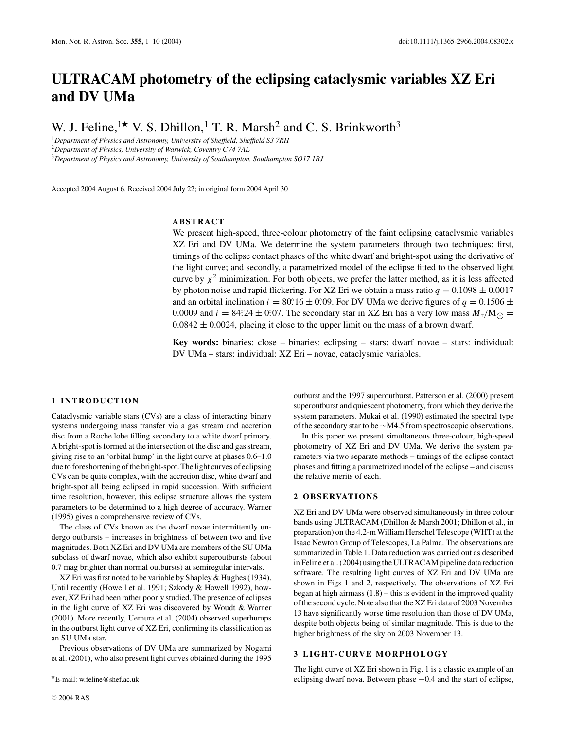# **ULTRACAM photometry of the eclipsing cataclysmic variables XZ Eri and DV UMa**

W. J. Feline,  $1\star$  V. S. Dhillon,  $1$  T. R. Marsh<sup>2</sup> and C. S. Brinkworth<sup>3</sup>

<sup>1</sup>*Department of Physics and Astronomy, University of Sheffield, Sheffield S3 7RH*

<sup>2</sup>*Department of Physics, University of Warwick, Coventry CV4 7AL*

<sup>3</sup>*Department of Physics and Astronomy, University of Southampton, Southampton SO17 1BJ*

Accepted 2004 August 6. Received 2004 July 22; in original form 2004 April 30

# **ABSTRACT**

We present high-speed, three-colour photometry of the faint eclipsing cataclysmic variables XZ Eri and DV UMa. We determine the system parameters through two techniques: first, timings of the eclipse contact phases of the white dwarf and bright-spot using the derivative of the light curve; and secondly, a parametrized model of the eclipse fitted to the observed light curve by  $\chi^2$  minimization. For both objects, we prefer the latter method, as it is less affected by photon noise and rapid flickering. For XZ Eri we obtain a mass ratio  $q = 0.1098 \pm 0.0017$ and an orbital inclination  $i = 80^\circ.16 \pm 0.09$ . For DV UMa we derive figures of  $q = 0.1506 \pm 0.09$ . 0.0009 and  $i = 84.24 \pm 0.07$ . The secondary star in XZ Eri has a very low mass  $M_r/M_\odot =$  $0.0842 \pm 0.0024$ , placing it close to the upper limit on the mass of a brown dwarf.

**Key words:** binaries: close – binaries: eclipsing – stars: dwarf novae – stars: individual: DV UMa – stars: individual: XZ Eri – novae, cataclysmic variables.

#### **1 INTRODUCTION**

Cataclysmic variable stars (CVs) are a class of interacting binary systems undergoing mass transfer via a gas stream and accretion disc from a Roche lobe filling secondary to a white dwarf primary. A bright-spot is formed at the intersection of the disc and gas stream, giving rise to an 'orbital hump' in the light curve at phases 0.6–1.0 due to foreshortening of the bright-spot. The light curves of eclipsing CVs can be quite complex, with the accretion disc, white dwarf and bright-spot all being eclipsed in rapid succession. With sufficient time resolution, however, this eclipse structure allows the system parameters to be determined to a high degree of accuracy. Warner (1995) gives a comprehensive review of CVs.

The class of CVs known as the dwarf novae intermittently undergo outbursts – increases in brightness of between two and five magnitudes. Both XZ Eri and DV UMa are members of the SU UMa subclass of dwarf novae, which also exhibit superoutbursts (about 0.7 mag brighter than normal outbursts) at semiregular intervals.

XZ Eri was first noted to be variable by Shapley & Hughes(1934). Until recently (Howell et al. 1991; Szkody & Howell 1992), however, XZ Eri had been rather poorly studied. The presence of eclipses in the light curve of XZ Eri was discovered by Woudt & Warner (2001). More recently, Uemura et al. (2004) observed superhumps in the outburst light curve of XZ Eri, confirming its classification as an SU UMa star.

Previous observations of DV UMa are summarized by Nogami et al. (2001), who also present light curves obtained during the 1995

E-mail: w.feline@shef.ac.uk

<sup>C</sup> 2004 RAS

outburst and the 1997 superoutburst. Patterson et al. (2000) present superoutburst and quiescent photometry, from which they derive the system parameters. Mukai et al. (1990) estimated the spectral type of the secondary star to be ∼M4.5 from spectroscopic observations.

In this paper we present simultaneous three-colour, high-speed photometry of XZ Eri and DV UMa. We derive the system parameters via two separate methods – timings of the eclipse contact phases and fitting a parametrized model of the eclipse – and discuss the relative merits of each.

# **2 OBSERVATIONS**

XZ Eri and DV UMa were observed simultaneously in three colour bands using ULTRACAM (Dhillon & Marsh 2001; Dhillon et al., in preparation) on the 4.2-m William Herschel Telescope (WHT) at the Isaac Newton Group of Telescopes, La Palma. The observations are summarized in Table 1. Data reduction was carried out as described in Feline et al.(2004) using the ULTRACAM pipeline data reduction software. The resulting light curves of XZ Eri and DV UMa are shown in Figs 1 and 2, respectively. The observations of XZ Eri began at high airmass  $(1.8)$  – this is evident in the improved quality of the second cycle. Note also that the XZ Eri data of 2003 November 13 have significantly worse time resolution than those of DV UMa, despite both objects being of similar magnitude. This is due to the higher brightness of the sky on 2003 November 13.

# **3 LIGHT-CURVE MORPHOLOGY**

The light curve of XZ Eri shown in Fig. 1 is a classic example of an eclipsing dwarf nova. Between phase −0.4 and the start of eclipse,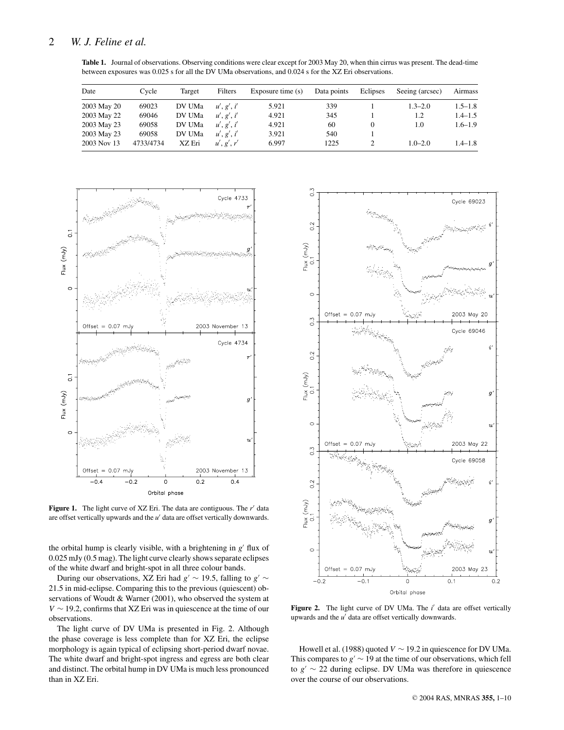**Table 1.** Journal of observations. Observing conditions were clear except for 2003 May 20, when thin cirrus was present. The dead-time between exposures was 0.025 s for all the DV UMa observations, and 0.024 s for the XZ Eri observations.

| Date        | Cycle     | Target | Filters    | Exposure time $(s)$ | Data points | Eclipses | Seeing (arcsec) | Airmass     |
|-------------|-----------|--------|------------|---------------------|-------------|----------|-----------------|-------------|
| 2003 May 20 | 69023     | DV UMa | u', g', i' | 5.921               | 339         |          | $1.3 - 2.0$     | $1.5 - 1.8$ |
| 2003 May 22 | 69046     | DV UMa | u', g', i' | 4.921               | 345         |          | 1.2             | $1.4 - 1.5$ |
| 2003 May 23 | 69058     | DV UMa | u', g', i' | 4.921               | 60          | $^{(1)}$ | 1.0             | $1.6 - 1.9$ |
| 2003 May 23 | 69058     | DV UMa | u', g', i' | 3.921               | 540         |          |                 |             |
| 2003 Nov 13 | 4733/4734 | XZ Eri | u', g', r' | 6.997               | 1225        |          | $1.0 - 2.0$     | $1.4 - 1.8$ |



Figure 1. The light curve of XZ Eri. The data are contiguous. The *r'* data are offset vertically upwards and the *u'* data are offset vertically downwards.

the orbital hump is clearly visible, with a brightening in *g* flux of 0.025 mJy (0.5 mag). The light curve clearly shows separate eclipses of the white dwarf and bright-spot in all three colour bands.

During our observations, XZ Eri had  $g' \sim 19.5$ , falling to  $g' \sim$ 21.5 in mid-eclipse. Comparing this to the previous (quiescent) observations of Woudt & Warner (2001), who observed the system at *V* ∼ 19.2, confirms that XZ Eri was in quiescence at the time of our observations.

The light curve of DV UMa is presented in Fig. 2. Although the phase coverage is less complete than for XZ Eri, the eclipse morphology is again typical of eclipsing short-period dwarf novae. The white dwarf and bright-spot ingress and egress are both clear and distinct. The orbital hump in DV UMa is much less pronounced than in XZ Eri.



Figure 2. The light curve of DV UMa. The *i'* data are offset vertically upwards and the *u'* data are offset vertically downwards.

Howell et al. (1988) quoted *V* ∼ 19.2 in quiescence for DV UMa. This compares to  $g' \sim 19$  at the time of our observations, which fell to  $g' \sim 22$  during eclipse. DV UMa was therefore in quiescence over the course of our observations.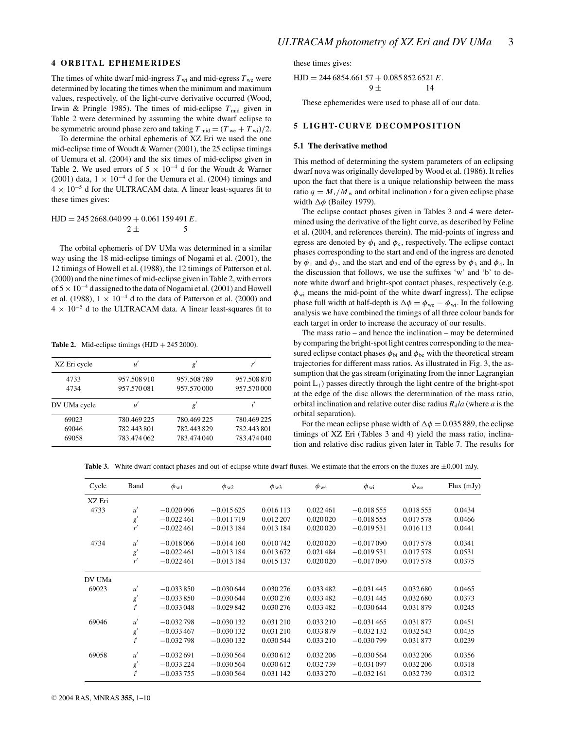#### **4 ORBITAL EPHEMERIDES**

The times of white dwarf mid-ingress  $T_{\text{wi}}$  and mid-egress  $T_{\text{we}}$  were determined by locating the times when the minimum and maximum values, respectively, of the light-curve derivative occurred (Wood, Irwin & Pringle 1985). The times of mid-eclipse  $T_{mid}$  given in Table 2 were determined by assuming the white dwarf eclipse to be symmetric around phase zero and taking  $T_{\text{mid}} = (T_{\text{we}} + T_{\text{wi}})/2$ .

To determine the orbital ephemeris of XZ Eri we used the one mid-eclipse time of Woudt  $&$  Warner (2001), the 25 eclipse timings of Uemura et al. (2004) and the six times of mid-eclipse given in Table 2. We used errors of  $5 \times 10^{-4}$  d for the Woudt & Warner (2001) data,  $1 \times 10^{-4}$  d for the Uemura et al. (2004) timings and  $4 \times 10^{-5}$  d for the ULTRACAM data. A linear least-squares fit to these times gives:

$$
HJD = 245\,2668.040\,99 + 0.061\,159\,491\,E.
$$

$$
2 \pm 5
$$

The orbital ephemeris of DV UMa was determined in a similar way using the 18 mid-eclipse timings of Nogami et al. (2001), the 12 timings of Howell et al. (1988), the 12 timings of Patterson et al. (2000) and the nine times of mid-eclipse given in Table 2, with errors of 5×10<sup>−</sup><sup>4</sup> d assigned to the data of Nogami et al.(2001) and Howell et al. (1988),  $1 \times 10^{-4}$  d to the data of Patterson et al. (2000) and  $4 \times 10^{-5}$  d to the ULTRACAM data. A linear least-squares fit to

**Table 2.** Mid-eclipse timings  $(HJD + 2452000)$ .

| XZ Eri cycle | u                | g          |            |
|--------------|------------------|------------|------------|
|              |                  |            |            |
| 4733         | 957.508910       | 957.508789 | 957.508870 |
| 4734         | 957.570081       | 957.570000 | 957.570000 |
| DV UMa cycle | $\boldsymbol{u}$ | g          |            |
| 69023        | 780.469225       | 780.469225 | 780.469225 |
| 69046        | 782.443801       | 782.443829 | 782.443801 |
| 69058        | 783.474062       | 783.474040 | 783.474040 |

these times gives:

HJD = 244 6854.661 57 + 0.085 852 6521 *E*.  $9 \pm 14$ 

These ephemerides were used to phase all of our data.

### **5 LIGHT-CURVE DECOMPOSITION**

#### **5.1 The derivative method**

This method of determining the system parameters of an eclipsing dwarf nova was originally developed by Wood et al. (1986). It relies upon the fact that there is a unique relationship between the mass ratio  $q = M_r/M_w$  and orbital inclination *i* for a given eclipse phase width  $\Delta \phi$  (Bailey 1979).

The eclipse contact phases given in Tables 3 and 4 were determined using the derivative of the light curve, as described by Feline et al. (2004, and references therein). The mid-points of ingress and egress are denoted by  $\phi_i$  and  $\phi_e$ , respectively. The eclipse contact phases corresponding to the start and end of the ingress are denoted by  $\phi_1$  and  $\phi_2$ , and the start and end of the egress by  $\phi_3$  and  $\phi_4$ . In the discussion that follows, we use the suffixes 'w' and 'b' to denote white dwarf and bright-spot contact phases, respectively (e.g.  $\phi_{wi}$  means the mid-point of the white dwarf ingress). The eclipse phase full width at half-depth is  $\Delta \phi = \phi_{we} - \phi_{wi}$ . In the following analysis we have combined the timings of all three colour bands for each target in order to increase the accuracy of our results.

The mass ratio – and hence the inclination – may be determined by comparing the bright-spot light centres corresponding to themeasured eclipse contact phases  $\phi_{bi}$  and  $\phi_{be}$  with the theoretical stream trajectories for different mass ratios. As illustrated in Fig. 3, the assumption that the gas stream (originating from the inner Lagrangian point  $L_1$ ) passes directly through the light centre of the bright-spot at the edge of the disc allows the determination of the mass ratio, orbital inclination and relative outer disc radius  $R_d/a$  (where *a* is the orbital separation).

For the mean eclipse phase width of  $\Delta \phi = 0.035$  889, the eclipse timings of XZ Eri (Tables 3 and 4) yield the mass ratio, inclination and relative disc radius given later in Table 7. The results for

Table 3. White dwarf contact phases and out-of-eclipse white dwarf fluxes. We estimate that the errors on the fluxes are  $\pm 0.001$  mJy.

| Cycle  | Band         | $\phi_{w1}$ | $\phi_{\rm w2}$ | $\phi_{\rm w3}$ | $\phi_{\rm w4}$ | $\phi_{\rm wi}$ | $\phi_{\rm we}$ | $Flux$ (mJy) |
|--------|--------------|-------------|-----------------|-----------------|-----------------|-----------------|-----------------|--------------|
| XZ Eri |              |             |                 |                 |                 |                 |                 |              |
| 4733   | u'           | $-0.020996$ | $-0.015625$     | 0.016 113       | 0.022461        | $-0.018555$     | 0.018 555       | 0.0434       |
|        | $g^{\prime}$ | $-0.022461$ | $-0.011719$     | 0.012 207       | 0.020 020       | $-0.018555$     | 0.017578        | 0.0466       |
|        | r'           | $-0.022461$ | $-0.013184$     | 0.013 184       | 0.020 020       | $-0.019531$     | 0.016 113       | 0.0441       |
| 4734   | u'           | $-0.018066$ | $-0.014160$     | 0.010742        | 0.020020        | $-0.017090$     | 0.017.578       | 0.0341       |
|        | g'           | $-0.022461$ | $-0.013184$     | 0.013672        | 0.021 484       | $-0.019531$     | 0.017578        | 0.0531       |
|        | r'           | $-0.022461$ | $-0.013184$     | 0.015 137       | 0.020 020       | $-0.017090$     | 0.017578        | 0.0375       |
| DV UMa |              |             |                 |                 |                 |                 |                 |              |
| 69023  | u'           | $-0.033850$ | $-0.030644$     | 0.030 276       | 0.033 482       | $-0.031445$     | 0.032 680       | 0.0465       |
|        | g'           | $-0.033850$ | $-0.030644$     | 0.030 276       | 0.033 482       | $-0.031445$     | 0.032 680       | 0.0373       |
|        | i'           | $-0.033048$ | $-0.029842$     | 0.030 276       | 0.033 482       | $-0.030644$     | 0.031879        | 0.0245       |
| 69046  | u'           | $-0.032798$ | $-0.030132$     | 0.031210        | 0.033 210       | $-0.031465$     | 0.031877        | 0.0451       |
|        | $g^{\prime}$ | $-0.033467$ | $-0.030132$     | 0.031210        | 0.033879        | $-0.032132$     | 0.032.543       | 0.0435       |
|        | i'           | $-0.032798$ | $-0.030132$     | 0.030 544       | 0.033 210       | $-0.030799$     | 0.031877        | 0.0239       |
| 69058  | u'           | $-0.032691$ | $-0.030564$     | 0.030612        | 0.032 206       | $-0.030564$     | 0.032 206       | 0.0356       |
|        | g'           | $-0.033224$ | $-0.030564$     | 0.030612        | 0.032739        | $-0.031097$     | 0.032 206       | 0.0318       |
|        | i'           | $-0.033755$ | $-0.030564$     | 0.031 142       | 0.033 270       | $-0.032161$     | 0.032739        | 0.0312       |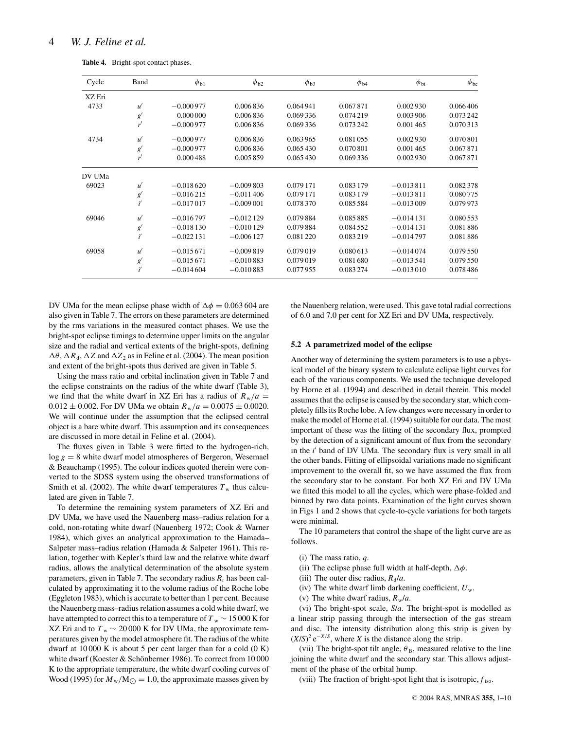|  | Table 4. Bright-spot contact phases. |  |
|--|--------------------------------------|--|
|--|--------------------------------------|--|

| Cycle  | Band         | $\phi_{b1}$ | $\phi_{b2}$ | $\phi_{b3}$ | $\phi_{b4}$ | $\phi_{\rm bi}$ | $\phi_{be}$ |
|--------|--------------|-------------|-------------|-------------|-------------|-----------------|-------------|
| XZ Eri |              |             |             |             |             |                 |             |
| 4733   | u'           | $-0.000977$ | 0.006836    | 0.064941    | 0.067871    | 0.002930        | 0.066406    |
|        | g'           | 0.000000    | 0.006836    | 0.069336    | 0.074 219   | 0.003906        | 0.073 242   |
|        | r'           | $-0.000977$ | 0.006836    | 0.069336    | 0.073 242   | 0.001465        | 0.070313    |
| 4734   | u'           | $-0.000977$ | 0.006836    | 0.063965    | 0.081 055   | 0.002930        | 0.070 801   |
|        | g'           | $-0.000977$ | 0.006836    | 0.065430    | 0.070 801   | 0.001465        | 0.067871    |
|        | r'           | 0.000488    | 0.005859    | 0.065430    | 0.069336    | 0.002930        | 0.067871    |
| DV UMa |              |             |             |             |             |                 |             |
| 69023  | u'           | $-0.018620$ | $-0.009803$ | 0.079 171   | 0.083 179   | $-0.013811$     | 0.082378    |
|        | $g^{\prime}$ | $-0.016215$ | $-0.011406$ | 0.079 171   | 0.083 179   | $-0.013811$     | 0.080775    |
|        | i'           | $-0.017017$ | $-0.009001$ | 0.078370    | 0.085 584   | $-0.013009$     | 0.079 973   |
| 69046  | u'           | $-0.016797$ | $-0.012129$ | 0.079884    | 0.085885    | $-0.014131$     | 0.080 553   |
|        | g'           | $-0.018130$ | $-0.010129$ | 0.079884    | 0.084 552   | $-0.014131$     | 0.081886    |
|        | $i^\prime$   | $-0.022131$ | $-0.006127$ | 0.081220    | 0.083219    | $-0.014797$     | 0.081886    |
| 69058  | u'           | $-0.015671$ | $-0.009819$ | 0.079019    | 0.080 613   | $-0.014074$     | 0.079 550   |
|        | g'           | $-0.015671$ | $-0.010883$ | 0.079019    | 0.081 680   | $-0.013541$     | 0.079 550   |
|        | i'           | $-0.014604$ | $-0.010883$ | 0.077955    | 0.083 274   | $-0.013010$     | 0.078 486   |

DV UMa for the mean eclipse phase width of  $\Delta \phi = 0.063\,604$  are also given in Table 7. The errors on these parameters are determined by the rms variations in the measured contact phases. We use the bright-spot eclipse timings to determine upper limits on the angular size and the radial and vertical extents of the bright-spots, defining  $\Delta\theta$ ,  $\Delta R_d$ ,  $\Delta Z$  and  $\Delta Z_2$  as in Feline et al. (2004). The mean position and extent of the bright-spots thus derived are given in Table 5.

Using the mass ratio and orbital inclination given in Table 7 and the eclipse constraints on the radius of the white dwarf (Table 3), we find that the white dwarf in XZ Eri has a radius of  $R_w/a =$  $0.012 \pm 0.002$ . For DV UMa we obtain  $R_w/a = 0.0075 \pm 0.0020$ . We will continue under the assumption that the eclipsed central object is a bare white dwarf. This assumption and its consequences are discussed in more detail in Feline et al. (2004).

The fluxes given in Table 3 were fitted to the hydrogen-rich,  $log\ g = 8$  white dwarf model atmospheres of Bergeron, Wesemael & Beauchamp (1995). The colour indices quoted therein were converted to the SDSS system using the observed transformations of Smith et al. (2002). The white dwarf temperatures  $T_w$  thus calculated are given in Table 7.

To determine the remaining system parameters of XZ Eri and DV UMa, we have used the Nauenberg mass–radius relation for a cold, non-rotating white dwarf (Nauenberg 1972; Cook & Warner 1984), which gives an analytical approximation to the Hamada– Salpeter mass–radius relation (Hamada & Salpeter 1961). This relation, together with Kepler's third law and the relative white dwarf radius, allows the analytical determination of the absolute system parameters, given in Table 7. The secondary radius  $R_r$  has been calculated by approximating it to the volume radius of the Roche lobe (Eggleton 1983), which is accurate to better than 1 per cent. Because the Nauenberg mass-radius relation assumes a cold white dwarf, we have attempted to correct this to a temperature of  $T_w \sim 15000 \text{ K}$  for XZ Eri and to  $T_w \sim 20000$  K for DV UMa, the approximate temperatures given by the model atmosphere fit. The radius of the white dwarf at 10 000 K is about 5 per cent larger than for a cold (0 K) white dwarf (Koester & Schönberner 1986). To correct from 10 000 K to the appropriate temperature, the white dwarf cooling curves of Wood (1995) for  $M_{\rm w}/\rm M_{\odot} = 1.0$ , the approximate masses given by

the Nauenberg relation, were used. This gave total radial corrections of 6.0 and 7.0 per cent for XZ Eri and DV UMa, respectively.

#### **5.2 A parametrized model of the eclipse**

Another way of determining the system parameters is to use a physical model of the binary system to calculate eclipse light curves for each of the various components. We used the technique developed by Horne et al. (1994) and described in detail therein. This model assumes that the eclipse is caused by the secondary star, which completely fills its Roche lobe. A few changes were necessary in order to make the model of Horne et al. (1994) suitable for our data. The most important of these was the fitting of the secondary flux, prompted by the detection of a significant amount of flux from the secondary in the *i'* band of DV UMa. The secondary flux is very small in all the other bands. Fitting of ellipsoidal variations made no significant improvement to the overall fit, so we have assumed the flux from the secondary star to be constant. For both XZ Eri and DV UMa we fitted this model to all the cycles, which were phase-folded and binned by two data points. Examination of the light curves shown in Figs 1 and 2 shows that cycle-to-cycle variations for both targets were minimal.

The 10 parameters that control the shape of the light curve are as follows.

- (i) The mass ratio, *q*.
- (ii) The eclipse phase full width at half-depth,  $\Delta \phi$ .
- (iii) The outer disc radius,  $R_d/a$ .
- (iv) The white dwarf limb darkening coefficient,  $U_w$ .
- (v) The white dwarf radius,  $R_w/a$ .

(vi) The bright-spot scale, *S*/*a*. The bright-spot is modelled as a linear strip passing through the intersection of the gas stream and disc. The intensity distribution along this strip is given by  $(X/S)^2 e^{-X/S}$ , where *X* is the distance along the strip.

(vii) The bright-spot tilt angle,  $\theta_B$ , measured relative to the line joining the white dwarf and the secondary star. This allows adjustment of the phase of the orbital hump.

(viii) The fraction of bright-spot light that is isotropic, *f* iso.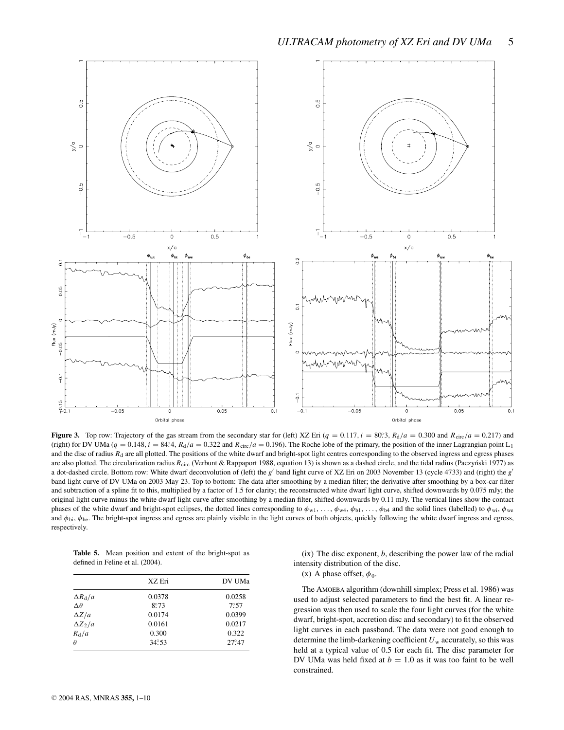

**Figure 3.** Top row: Trajectory of the gas stream from the secondary star for (left) XZ Eri ( $q = 0.117$ ,  $i = 80^\circ 3$ ,  $R_d/a = 0.300$  and  $R_{\text{circ}}/a = 0.217$ ) and (right) for DV UMa ( $q = 0.148$ ,  $i = 84^\circ 4$ ,  $R_d/a = 0.322$  and  $R_{\text{circ}}/a = 0.196$ ). The Roche lobe of the primary, the position of the inner Lagrangian point L<sub>1</sub> and the disc of radius  $R_d$  are all plotted. The positions of the white dwarf and bright-spot light centres corresponding to the observed ingress and egress phases are also plotted. The circularization radius  $R_{\text{circ}}$  (Verbunt & Rappaport 1988, equation 13) is shown as a dashed circle, and the tidal radius (Paczyński 1977) as a dot-dashed circle. Bottom row: White dwarf deconvolution of (left) the *g*' band light curve of XZ Eri on 2003 November 13 (cycle 4733) and (right) the *g*' band light curve of DV UMa on 2003 May 23. Top to bottom: The data after smoothing by a median filter; the derivative after smoothing by a box-car filter and subtraction of a spline fit to this, multiplied by a factor of 1.5 for clarity; the reconstructed white dwarf light curve, shifted downwards by 0.075 mJy; the original light curve minus the white dwarf light curve after smoothing by a median filter, shifted downwards by 0.11 mJy. The vertical lines show the contact phases of the white dwarf and bright-spot eclipses, the dotted lines corresponding to  $\phi_{w1}, \ldots, \phi_{w4}, \phi_{b1}, \ldots, \phi_{b4}$  and the solid lines (labelled) to  $\phi_{w1}, \phi_{w2}$ and  $\phi_{bi}$ ,  $\phi_{be}$ . The bright-spot ingress and egress are plainly visible in the light curves of both objects, quickly following the white dwarf ingress and egress, respectively.

**Table 5.** Mean position and extent of the bright-spot as defined in Feline et al. (2004).

|                      | XZ Eri | DV UMa        |
|----------------------|--------|---------------|
| $\Delta R_{\rm d}/a$ | 0.0378 | 0.0258        |
| $\Delta\theta$       | 8.73   | $7^\circ 57$  |
| $\Delta Z/a$         | 0.0174 | 0.0399        |
| $\Delta Z_2/a$       | 0.0161 | 0.0217        |
| $R_{\rm d}/a$        | 0.300  | 0.322         |
| $\theta$             | 34.53  | $27^\circ 47$ |

 $(ix)$  The disc exponent,  $b$ , describing the power law of the radial intensity distribution of the disc.

# (x) A phase offset,  $\phi_0$ .

The AMOEBA algorithm (downhill simplex; Press et al. 1986) was used to adjust selected parameters to find the best fit. A linear regression was then used to scale the four light curves (for the white dwarf, bright-spot, accretion disc and secondary) to fit the observed light curves in each passband. The data were not good enough to determine the limb-darkening coefficient  $U_w$  accurately, so this was held at a typical value of 0.5 for each fit. The disc parameter for DV UMa was held fixed at  $b = 1.0$  as it was too faint to be well constrained.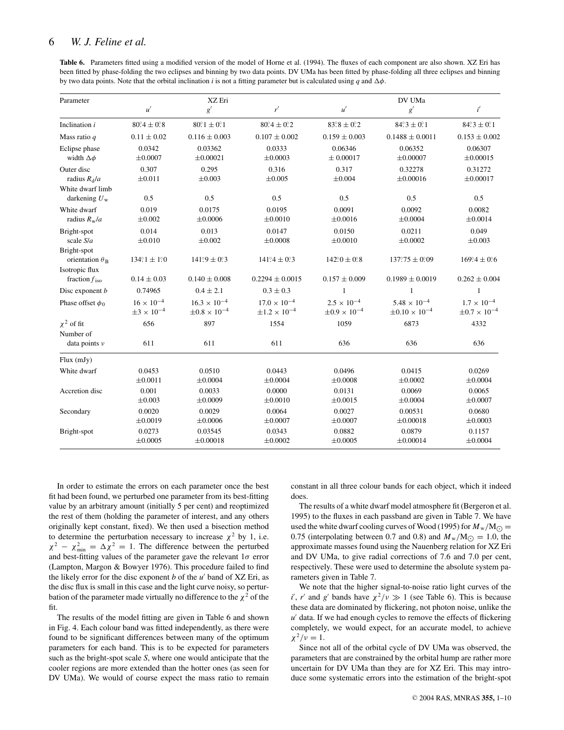# 6 *W. J. Feline et al.*

**Table 6.** Parameters fitted using a modified version of the model of Horne et al. (1994). The fluxes of each component are also shown. XZ Eri has been fitted by phase-folding the two eclipses and binning by two data points. DV UMa has been fitted by phase-folding all three eclipses and binning by two data points. Note that the orbital inclination *i* is not a fitting parameter but is calculated using *q* and  $\Delta \phi$ .

| Parameter                                   |                                            | XZ Eri                                            |                                                                |                                                             | DV UMa                                             |                                                  |
|---------------------------------------------|--------------------------------------------|---------------------------------------------------|----------------------------------------------------------------|-------------------------------------------------------------|----------------------------------------------------|--------------------------------------------------|
|                                             | u'                                         | g'                                                | r'                                                             | u'                                                          | $g^{\prime}$                                       | i'                                               |
| Inclination i                               | $80^{\circ}\,4 \pm 0^{\circ}\,8$           | $80^{\circ}1 \pm 0^{\circ}1$                      | $80^{\circ}\!\!\!\!\!\!\!\!\!\!4\pm0^{\circ}\!\!\!\!\!\!\!2$   | $83^{\circ}\!\!\!\!\!\!\!\times8640^{\circ}\!\!\!\!\times2$ | $84^\circ$ 3 $\pm$ 0 $^{\circ}$ 1                  | $84^\circ 3 \pm 0^\circ 1$                       |
| Mass ratio $q$                              | $0.11 \pm 0.02$                            | $0.116 \pm 0.003$                                 | $0.107 \pm 0.002$                                              | $0.159 \pm 0.003$                                           | $0.1488 \pm 0.0011$                                | $0.153 \pm 0.002$                                |
| Eclipse phase<br>width $\Delta \phi$        | 0.0342<br>$\pm 0.0007$                     | 0.03362<br>$\pm 0.00021$                          | 0.0333<br>$\pm 0.0003$                                         | 0.06346<br>± 0.00017                                        | 0.06352<br>$\pm 0.00007$                           | 0.06307<br>$\pm 0.00015$                         |
| Outer disc<br>radius $R_d/a$                | 0.307<br>$\pm 0.011$                       | 0.295<br>$\pm 0.003$                              | 0.316<br>$\pm 0.005$                                           | 0.317<br>$\pm 0.004$                                        | 0.32278<br>$\pm 0.00016$                           | 0.31272<br>$\pm 0.00017$                         |
| White dwarf limb<br>darkening $U_{\rm w}$   | 0.5                                        | 0.5                                               | 0.5                                                            | 0.5                                                         | 0.5                                                | 0.5                                              |
| White dwarf<br>radius $R_w/a$               | 0.019<br>$\pm 0.002$                       | 0.0175<br>$\pm 0.0006$                            | 0.0195<br>$\pm 0.0010$                                         | 0.0091<br>$\pm 0.0016$                                      | 0.0092<br>$\pm 0.0004$                             | 0.0082<br>$\pm 0.0014$                           |
| Bright-spot<br>scale $S/a$                  | 0.014<br>$\pm 0.010$                       | 0.013<br>$\pm 0.002$                              | 0.0147<br>$\pm 0.0008$                                         | 0.0150<br>$\pm 0.0010$                                      | 0.0211<br>$\pm 0.0002$                             | 0.049<br>$\pm 0.003$                             |
| Bright-spot<br>orientation $\theta_B$       | $134^\circ \cdot 1 \pm 1^\circ \cdot 0$    | $141^\circ 9 \pm 0.3$                             | $141^\circ\!\!\!\!\!\!\!\cdot\ 4\pm 0^\circ\!\!\!\!\!\cdot\ 3$ | $142^\circ \cdot 0 \pm 0^\circ \cdot 8$                     | $137.75 \pm 0.09$                                  | $169^{\circ}4 \pm 0^{\circ}6$                    |
| Isotropic flux<br>fraction $f_{\text{iso}}$ | $0.14 \pm 0.03$                            | $0.140 \pm 0.008$                                 | $0.2294 \pm 0.0015$                                            | $0.157 \pm 0.009$                                           | $0.1989 \pm 0.0019$                                | $0.262 \pm 0.004$                                |
| Disc exponent $b$                           | 0.74965                                    | $0.4 \pm 2.1$                                     | $0.3 \pm 0.3$                                                  | 1                                                           | $\mathbf{1}$                                       | 1                                                |
| Phase offset $\phi_0$                       | $16 \times 10^{-4}$<br>$+3 \times 10^{-4}$ | $16.3 \times 10^{-4}$<br>$\pm 0.8 \times 10^{-4}$ | $17.0 \times 10^{-4}$<br>$\pm 1.2 \times 10^{-4}$              | $2.5 \times 10^{-4}$<br>$\pm 0.9 \times 10^{-4}$            | $5.48 \times 10^{-4}$<br>$\pm 0.10 \times 10^{-4}$ | $1.7 \times 10^{-4}$<br>$\pm 0.7 \times 10^{-4}$ |
| $\chi^2$ of fit<br>Number of                | 656                                        | 897                                               | 1554                                                           | 1059                                                        | 6873                                               | 4332                                             |
| data points $\nu$                           | 611                                        | 611                                               | 611                                                            | 636                                                         | 636                                                | 636                                              |
| $Flux$ (mJy)                                |                                            |                                                   |                                                                |                                                             |                                                    |                                                  |
| White dwarf                                 | 0.0453<br>$\pm 0.0011$                     | 0.0510<br>$\pm 0.0004$                            | 0.0443<br>$\pm 0.0004$                                         | 0.0496<br>$\pm 0.0008$                                      | 0.0415<br>$\pm 0.0002$                             | 0.0269<br>$\pm 0.0004$                           |
| Accretion disc                              | 0.001<br>$\pm 0.003$                       | 0.0033<br>$\pm 0.0009$                            | 0.0000<br>$\pm 0.0010$                                         | 0.0131<br>$\pm 0.0015$                                      | 0.0069<br>±0.0004                                  | 0.0065<br>$\pm 0.0007$                           |
| Secondary                                   | 0.0020<br>$\pm 0.0019$                     | 0.0029<br>$\pm 0.0006$                            | 0.0064<br>$\pm 0.0007$                                         | 0.0027<br>$\pm 0.0007$                                      | 0.00531<br>$\pm 0.00018$                           | 0.0680<br>$\pm 0.0003$                           |
| Bright-spot                                 | 0.0273<br>$\pm 0.0005$                     | 0.03545<br>$\pm 0.00018$                          | 0.0343<br>$\pm 0.0002$                                         | 0.0882<br>$\pm 0.0005$                                      | 0.0879<br>$\pm 0.00014$                            | 0.1157<br>$\pm 0.0004$                           |

In order to estimate the errors on each parameter once the best fit had been found, we perturbed one parameter from its best-fitting value by an arbitrary amount (initially 5 per cent) and reoptimized the rest of them (holding the parameter of interest, and any others originally kept constant, fixed). We then used a bisection method to determine the perturbation necessary to increase  $\chi^2$  by 1, i.e.  $\chi^2 - \chi^2_{\text{min}} = \Delta \chi^2 = 1$ . The difference between the perturbed and best-fitting values of the parameter gave the relevant  $1\sigma$  error (Lampton, Margon & Bowyer 1976). This procedure failed to find the likely error for the disc exponent *b* of the *u* band of XZ Eri, as the disc flux is small in this case and the light curve noisy, so perturbation of the parameter made virtually no difference to the  $\chi^2$  of the fit.

The results of the model fitting are given in Table 6 and shown in Fig. 4. Each colour band was fitted independently, as there were found to be significant differences between many of the optimum parameters for each band. This is to be expected for parameters such as the bright-spot scale *S*, where one would anticipate that the cooler regions are more extended than the hotter ones (as seen for DV UMa). We would of course expect the mass ratio to remain

constant in all three colour bands for each object, which it indeed does.

The results of a white dwarf model atmosphere fit (Bergeron et al. 1995) to the fluxes in each passband are given in Table 7. We have used the white dwarf cooling curves of Wood (1995) for  $M_{\mathrm{w}}/\mathrm{M}_{\odot}$  = 0.75 (interpolating between 0.7 and 0.8) and  $M_{\rm w}/M_{\odot} = 1.0$ , the approximate masses found using the Nauenberg relation for XZ Eri and DV UMa, to give radial corrections of 7.6 and 7.0 per cent, respectively. These were used to determine the absolute system parameters given in Table 7.

We note that the higher signal-to-noise ratio light curves of the *i*<sup>'</sup>, *r*<sup>'</sup> and *g*<sup>'</sup> bands have  $\chi^2/\nu \gg 1$  (see Table 6). This is because these data are dominated by flickering, not photon noise, unlike the u' data. If we had enough cycles to remove the effects of flickering completely, we would expect, for an accurate model, to achieve  $\chi^2/\nu = 1$ .

Since not all of the orbital cycle of DV UMa was observed, the parameters that are constrained by the orbital hump are rather more uncertain for DV UMa than they are for XZ Eri. This may introduce some systematic errors into the estimation of the bright-spot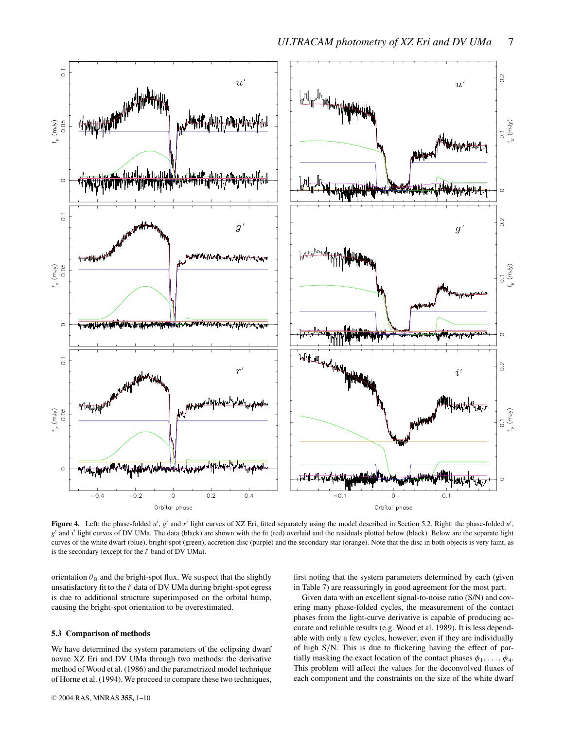

Figure 4. Left: the phase-folded *u'*, g' and r' light curves of XZ Eri, fitted separately using the model described in Section 5.2. Right: the phase-folded *u'*, g' and *i'* light curves of DV UMa. The data (black) are shown with the fit (red) overlaid and the residuals plotted below (black). Below are the separate light curves of the white dwarf (blue), bright-spot (green), accretion disc (purple) and the secondary star (orange). Note that the disc in both objects is very faint, as is the secondary (except for the *i'* band of DV UMa).

orientation  $\theta_B$  and the bright-spot flux. We suspect that the slightly unsatisfactory fit to the *i* data of DV UMa during bright-spot egress is due to additional structure superimposed on the orbital hump, causing the bright-spot orientation to be overestimated.

#### **5.3 Comparison of methods**

We have determined the system parameters of the eclipsing dwarf novae XZ Eri and DV UMa through two methods: the derivative method of Wood et al. (1986) and the parametrized model technique of Horne et al. (1994). We proceed to compare these two techniques, first noting that the system parameters determined by each (given in Table 7) are reassuringly in good agreement for the most part.

Given data with an excellent signal-to-noise ratio (S/N) and covering many phase-folded cycles, the measurement of the contact phases from the light-curve derivative is capable of producing accurate and reliable results (e.g. Wood et al. 1989). It is less dependable with only a few cycles, however, even if they are individually of high S/N. This is due to flickering having the effect of partially masking the exact location of the contact phases  $\phi_1, \ldots, \phi_4$ . This problem will affect the values for the deconvolved fluxes of each component and the constraints on the size of the white dwarf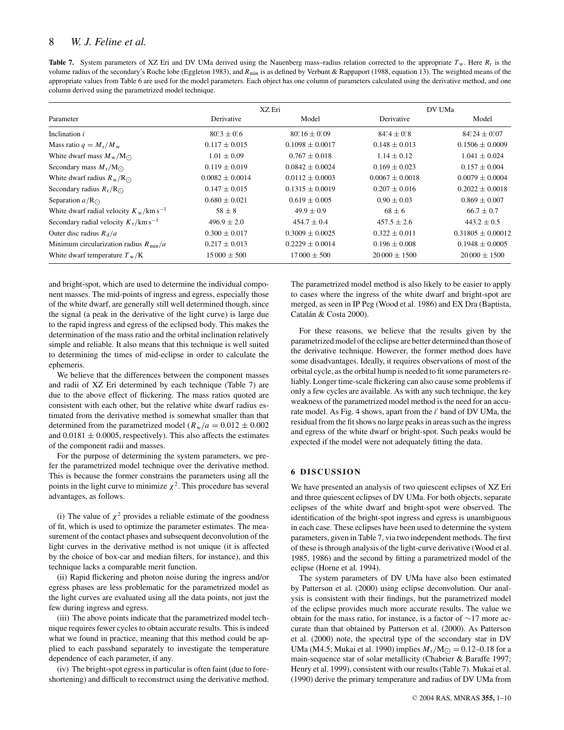# 8 *W. J. Feline et al.*

**Table 7.** System parameters of XZ Eri and DV UMa derived using the Nauenberg mass–radius relation corrected to the appropriate  $T_w$ . Here  $R_r$  is the volume radius of the secondary's Roche lobe (Eggleton 1983), and *R*min is as defined by Verbunt & Rappaport (1988, equation 13). The weighted means of the appropriate values from Table 6 are used for the model parameters. Each object has one column of parameters calculated using the derivative method, and one column derived using the parametrized model technique.

|                                                        |                                                                          | XZ Eri                         |                       | DV UMa                     |
|--------------------------------------------------------|--------------------------------------------------------------------------|--------------------------------|-----------------------|----------------------------|
| Parameter                                              | Derivative                                                               | Model                          | Derivative            | Model                      |
| Inclination i                                          | $80^\circ\!\!\!\!\!\!\!\!\!\!\!\!\!3\pm0^\circ\!\!\!\!\!\!\!\!\!\!\!\!6$ | $80^{\circ}16 \pm 0^{\circ}09$ | $84^{\circ}4 \pm 0.8$ | $84^\circ$ :24 $\pm$ 0°:07 |
| Mass ratio $q = M_r/M_w$                               | $0.117 \pm 0.015$                                                        | $0.1098 + 0.0017$              | $0.148 \pm 0.013$     | $0.1506 + 0.0009$          |
| White dwarf mass $M_{\rm w}/M_{\odot}$                 | $1.01 \pm 0.09$                                                          | $0.767 \pm 0.018$              | $1.14 \pm 0.12$       | $1.041 \pm 0.024$          |
| Secondary mass $M_r/M_{\odot}$                         | $0.119 \pm 0.019$                                                        | $0.0842 + 0.0024$              | $0.169 \pm 0.023$     | $0.157 \pm 0.004$          |
| White dwarf radius $R_{\rm w}/R_{\odot}$               | $0.0082 \pm 0.0014$                                                      | $0.0112 + 0.0003$              | $0.0067 + 0.0018$     | $0.0079 \pm 0.0004$        |
| Secondary radius $R_r/R_{\odot}$                       | $0.147 \pm 0.015$                                                        | $0.1315 \pm 0.0019$            | $0.207 \pm 0.016$     | $0.2022 \pm 0.0018$        |
| Separation $a/R_{\odot}$                               | $0.680 \pm 0.021$                                                        | $0.619 \pm 0.005$              | $0.90 \pm 0.03$       | $0.869 \pm 0.007$          |
| White dwarf radial velocity $K_{\rm w}/\rm km\,s^{-1}$ | $58 \pm 8$                                                               | $49.9 \pm 0.9$                 | $68 \pm 6$            | $66.7 \pm 0.7$             |
| Secondary radial velocity $K_r/km s^{-1}$              | $496.9 \pm 2.0$                                                          | $454.7 \pm 0.4$                | $457.5 \pm 2.6$       | $443.2 \pm 0.5$            |
| Outer disc radius $R_{d}/a$                            | $0.300 \pm 0.017$                                                        | $0.3009 \pm 0.0025$            | $0.322 \pm 0.011$     | $0.31805 \pm 0.00012$      |
| Minimum circularization radius $R_{\text{min}}/a$      | $0.217 \pm 0.013$                                                        | $0.2229 + 0.0014$              | $0.196 \pm 0.008$     | $0.1948 \pm 0.0005$        |
| White dwarf temperature $T_w/K$                        | $15000 \pm 500$                                                          | $17000 \pm 500$                | $20000 \pm 1500$      | $20000 \pm 1500$           |

and bright-spot, which are used to determine the individual component masses. The mid-points of ingress and egress, especially those of the white dwarf, are generally still well determined though, since the signal (a peak in the derivative of the light curve) is large due to the rapid ingress and egress of the eclipsed body. This makes the determination of the mass ratio and the orbital inclination relatively simple and reliable. It also means that this technique is well suited to determining the times of mid-eclipse in order to calculate the ephemeris.

We believe that the differences between the component masses and radii of XZ Eri determined by each technique (Table 7) are due to the above effect of flickering. The mass ratios quoted are consistent with each other, but the relative white dwarf radius estimated from the derivative method is somewhat smaller than that determined from the parametrized model ( $R_w/a = 0.012 \pm 0.002$ ) and  $0.0181 \pm 0.0005$ , respectively). This also affects the estimates of the component radii and masses.

For the purpose of determining the system parameters, we prefer the parametrized model technique over the derivative method. This is because the former constrains the parameters using all the points in the light curve to minimize  $\chi^2$ . This procedure has several advantages, as follows.

(i) The value of  $\chi^2$  provides a reliable estimate of the goodness of fit, which is used to optimize the parameter estimates. The measurement of the contact phases and subsequent deconvolution of the light curves in the derivative method is not unique (it is affected by the choice of box-car and median filters, for instance), and this technique lacks a comparable merit function.

(ii) Rapid flickering and photon noise during the ingress and/or egress phases are less problematic for the parametrized model as the light curves are evaluated using all the data points, not just the few during ingress and egress.

(iii) The above points indicate that the parametrized model technique requires fewer cycles to obtain accurate results. This is indeed what we found in practice, meaning that this method could be applied to each passband separately to investigate the temperature dependence of each parameter, if any.

(iv) The bright-spot egressin particular is often faint (due to foreshortening) and difficult to reconstruct using the derivative method. The parametrized model method is also likely to be easier to apply to cases where the ingress of the white dwarf and bright-spot are merged, as seen in IP Peg (Wood et al. 1986) and EX Dra (Baptista, Catalán & Costa 2000).

For these reasons, we believe that the results given by the parametrized model of the eclipse are better determined than those of the derivative technique. However, the former method does have some disadvantages. Ideally, it requires observations of most of the orbital cycle, as the orbital hump is needed to fit some parameters reliably. Longer time-scale flickering can also cause some problemsif only a few cycles are available. As with any such technique, the key weakness of the parametrized model method is the need for an accurate model. As Fig. 4 shows, apart from the *i*' band of DV UMa, the residual from the fit shows no large peaks in areas such as the ingress and egress of the white dwarf or bright-spot. Such peaks would be expected if the model were not adequately fitting the data.

# **6 DISCUSSION**

We have presented an analysis of two quiescent eclipses of XZ Eri and three quiescent eclipses of DV UMa. For both objects, separate eclipses of the white dwarf and bright-spot were observed. The identification of the bright-spot ingress and egress is unambiguous in each case. These eclipses have been used to determine the system parameters, given in Table 7, via two independent methods. The first of these is through analysis of the light-curve derivative (Wood et al. 1985, 1986) and the second by fitting a parametrized model of the eclipse (Horne et al. 1994).

The system parameters of DV UMa have also been estimated by Patterson et al. (2000) using eclipse deconvolution. Our analysis is consistent with their findings, but the parametrized model of the eclipse provides much more accurate results. The value we obtain for the mass ratio, for instance, is a factor of ∼17 more accurate than that obtained by Patterson et al. (2000). As Patterson et al. (2000) note, the spectral type of the secondary star in DV UMa (M4.5; Mukai et al. 1990) implies  $M_{\rm r}/{\rm M}_{\bigodot} = 0.12{\rm -}0.18$  for a main-sequence star of solar metallicity (Chabrier & Baraffe 1997; Henry et al. 1999), consistent with our results(Table 7). Mukai et al. (1990) derive the primary temperature and radius of DV UMa from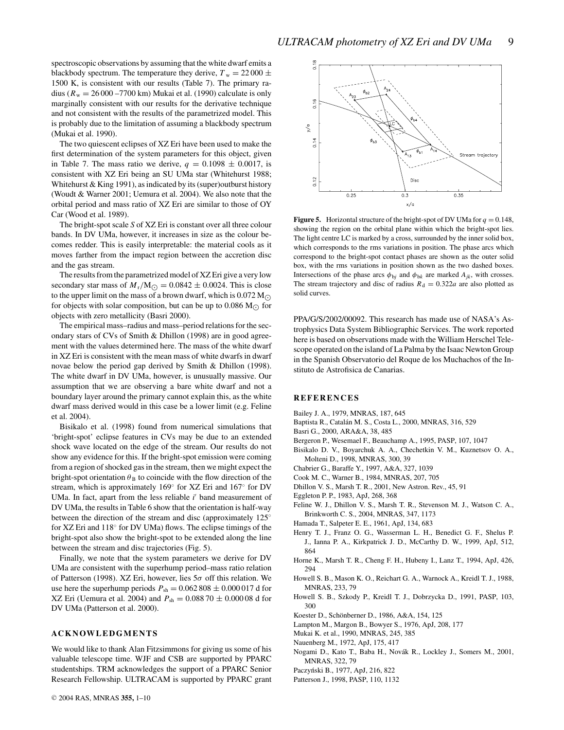spectroscopic observations by assuming that the white dwarf emits a blackbody spectrum. The temperature they derive,  $T_w = 22000 \pm 1$ 1500 K, is consistent with our results (Table 7). The primary radius ( $R_w = 26000 - 7700$  km) Mukai et al. (1990) calculate is only marginally consistent with our results for the derivative technique and not consistent with the results of the parametrized model. This is probably due to the limitation of assuming a blackbody spectrum (Mukai et al. 1990).

The two quiescent eclipses of XZ Eri have been used to make the first determination of the system parameters for this object, given in Table 7. The mass ratio we derive,  $q = 0.1098 \pm 0.0017$ , is consistent with XZ Eri being an SU UMa star (Whitehurst 1988; Whitehurst  $&$  King 1991), as indicated by its (super)outburst history (Woudt & Warner 2001; Uemura et al. 2004). We also note that the orbital period and mass ratio of XZ Eri are similar to those of OY Car (Wood et al. 1989).

The bright-spot scale *S* of XZ Eri is constant over all three colour bands. In DV UMa, however, it increases in size as the colour becomes redder. This is easily interpretable: the material cools as it moves farther from the impact region between the accretion disc and the gas stream.

The results from the parametrized model of XZ Eri give a very low secondary star mass of  $M_r/M_\odot = 0.0842 \pm 0.0024$ . This is close to the upper limit on the mass of a brown dwarf, which is  $0.072 M_{\odot}$ for objects with solar composition, but can be up to 0.086 M $_{\odot}$  for objects with zero metallicity (Basri 2000).

The empirical mass–radius and mass–period relations for the secondary stars of CVs of Smith & Dhillon (1998) are in good agreement with the values determined here. The mass of the white dwarf in XZ Eri is consistent with the mean mass of white dwarfs in dwarf novae below the period gap derived by Smith & Dhillon (1998). The white dwarf in DV UMa, however, is unusually massive. Our assumption that we are observing a bare white dwarf and not a boundary layer around the primary cannot explain this, as the white dwarf mass derived would in this case be a lower limit (e.g. Feline et al. 2004).

Bisikalo et al. (1998) found from numerical simulations that 'bright-spot' eclipse features in CVs may be due to an extended shock wave located on the edge of the stream. Our results do not show any evidence for this. If the bright-spot emission were coming from a region of shocked gas in the stream, then we might expect the bright-spot orientation  $\theta_B$  to coincide with the flow direction of the stream, which is approximately 169◦ for XZ Eri and 167◦ for DV UMa. In fact, apart from the less reliable *i'* band measurement of DV UMa, the results in Table 6 show that the orientation is half-way between the direction of the stream and disc (approximately 125◦ for XZ Eri and 118° for DV UMa) flows. The eclipse timings of the bright-spot also show the bright-spot to be extended along the line between the stream and disc trajectories (Fig. 5).

Finally, we note that the system parameters we derive for DV UMa are consistent with the superhump period–mass ratio relation of Patterson (1998). XZ Eri, however, lies 5σ off this relation. We use here the superhump periods  $P_{\text{sh}} = 0.062808 \pm 0.000017$  d for XZ Eri (Uemura et al. 2004) and  $P_{\text{sh}} = 0.08870 \pm 0.00008$  d for DV UMa (Patterson et al. 2000).

## **ACKNOWLEDGMENTS**

We would like to thank Alan Fitzsimmons for giving us some of his valuable telescope time. WJF and CSB are supported by PPARC studentships. TRM acknowledges the support of a PPARC Senior Research Fellowship. ULTRACAM is supported by PPARC grant



**Figure 5.** Horizontal structure of the bright-spot of DV UMa for  $q = 0.148$ , showing the region on the orbital plane within which the bright-spot lies. The light centre LC is marked by a cross, surrounded by the inner solid box, which corresponds to the rms variations in position. The phase arcs which correspond to the bright-spot contact phases are shown as the outer solid box, with the rms variations in position shown as the two dashed boxes. Intersections of the phase arcs  $\phi_{bi}$  and  $\phi_{bk}$  are marked  $A_{jk}$ , with crosses. The stream trajectory and disc of radius  $R_d = 0.322a$  are also plotted as solid curves.

PPA/G/S/2002/00092. This research has made use of NASA's Astrophysics Data System Bibliographic Services. The work reported here is based on observations made with the William Herschel Telescope operated on the island of La Palma by the Isaac Newton Group in the Spanish Observatorio del Roque de los Muchachos of the Instituto de Astrofisica de Canarias.

#### **REFERENCES**

- Bailey J. A., 1979, MNRAS, 187, 645
- Baptista R., Catalán M. S., Costa L., 2000, MNRAS, 316, 529
- Basri G., 2000, ARA&A, 38, 485
- Bergeron P., Wesemael F., Beauchamp A., 1995, PASP, 107, 1047
- Bisikalo D. V., Boyarchuk A. A., Chechetkin V. M., Kuznetsov O. A., Molteni D., 1998, MNRAS, 300, 39
- Chabrier G., Baraffe Y., 1997, A&A, 327, 1039
- Cook M. C., Warner B., 1984, MNRAS, 207, 705
- Dhillon V. S., Marsh T. R., 2001, New Astron. Rev., 45, 91
- Eggleton P. P., 1983, ApJ, 268, 368
- Feline W. J., Dhillon V. S., Marsh T. R., Stevenson M. J., Watson C. A., Brinkworth C. S., 2004, MNRAS, 347, 1173
- Hamada T., Salpeter E. E., 1961, ApJ, 134, 683
- Henry T. J., Franz O. G., Wasserman L. H., Benedict G. F., Shelus P. J., Ianna P. A., Kirkpatrick J. D., McCarthy D. W., 1999, ApJ, 512, 864
- Horne K., Marsh T. R., Cheng F. H., Hubeny I., Lanz T., 1994, ApJ, 426, 294
- Howell S. B., Mason K. O., Reichart G. A., Warnock A., Kreidl T. J., 1988, MNRAS, 233, 79
- Howell S. B., Szkody P., Kreidl T. J., Dobrzycka D., 1991, PASP, 103, 300
- Koester D., Schönberner D., 1986, A&A, 154, 125
- Lampton M., Margon B., Bowyer S., 1976, ApJ, 208, 177
- Mukai K. et al., 1990, MNRAS, 245, 385
- Nauenberg M., 1972, ApJ, 175, 417
- Nogami D., Kato T., Baba H., Novák R., Lockley J., Somers M., 2001, MNRAS, 322, 79
- Paczyński B., 1977, ApJ, 216, 822
- Patterson J., 1998, PASP, 110, 1132